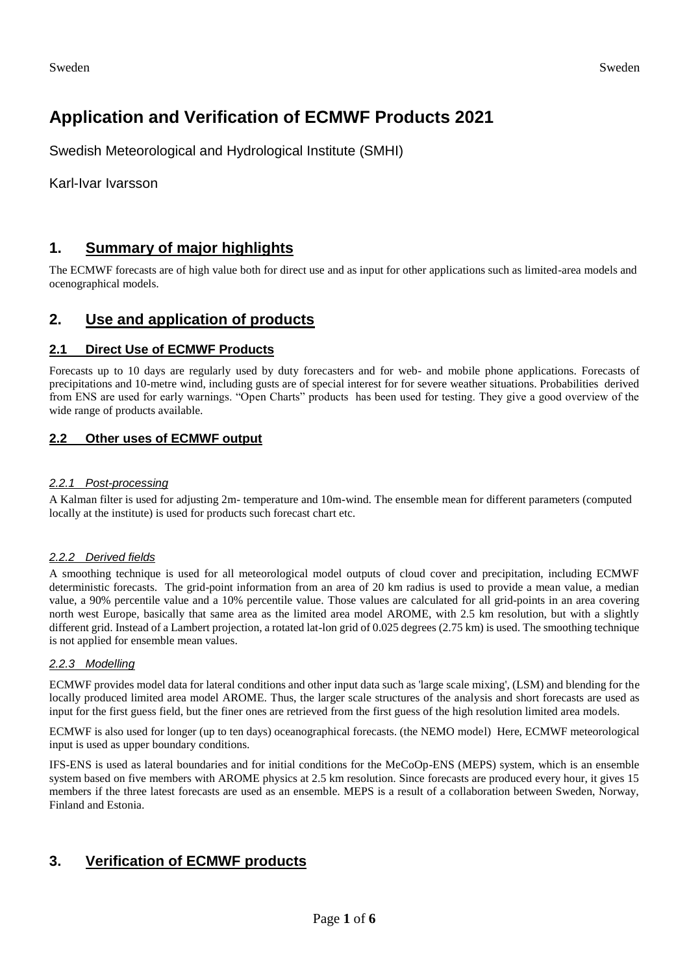# **Application and Verification of ECMWF Products 2021**

Swedish Meteorological and Hydrological Institute (SMHI)

Karl-Ivar Ivarsson

### **1. Summary of major highlights**

The ECMWF forecasts are of high value both for direct use and as input for other applications such as limited-area models and ocenographical models.

### **2. Use and application of products**

### **2.1 Direct Use of ECMWF Products**

Forecasts up to 10 days are regularly used by duty forecasters and for web- and mobile phone applications. Forecasts of precipitations and 10-metre wind, including gusts are of special interest for for severe weather situations. Probabilities derived from ENS are used for early warnings. "Open Charts" products has been used for testing. They give a good overview of the wide range of products available.

### **2.2 Other uses of ECMWF output**

#### *2.2.1 Post-processing*

A Kalman filter is used for adjusting 2m- temperature and 10m-wind. The ensemble mean for different parameters (computed locally at the institute) is used for products such forecast chart etc.

#### *2.2.2 Derived fields*

A smoothing technique is used for all meteorological model outputs of cloud cover and precipitation, including ECMWF deterministic forecasts. The grid-point information from an area of 20 km radius is used to provide a mean value, a median value, a 90% percentile value and a 10% percentile value. Those values are calculated for all grid-points in an area covering north west Europe, basically that same area as the limited area model AROME, with 2.5 km resolution, but with a slightly different grid. Instead of a Lambert projection, a rotated lat-lon grid of 0.025 degrees (2.75 km) is used. The smoothing technique is not applied for ensemble mean values.

#### *2.2.3 Modelling*

ECMWF provides model data for lateral conditions and other input data such as 'large scale mixing', (LSM) and blending for the locally produced limited area model AROME. Thus, the larger scale structures of the analysis and short forecasts are used as input for the first guess field, but the finer ones are retrieved from the first guess of the high resolution limited area models.

ECMWF is also used for longer (up to ten days) oceanographical forecasts. (the NEMO model) Here, ECMWF meteorological input is used as upper boundary conditions.

IFS-ENS is used as lateral boundaries and for initial conditions for the MeCoOp-ENS (MEPS) system, which is an ensemble system based on five members with AROME physics at 2.5 km resolution. Since forecasts are produced every hour, it gives 15 members if the three latest forecasts are used as an ensemble. MEPS is a result of a collaboration between Sweden, Norway, Finland and Estonia.

### **3. Verification of ECMWF products**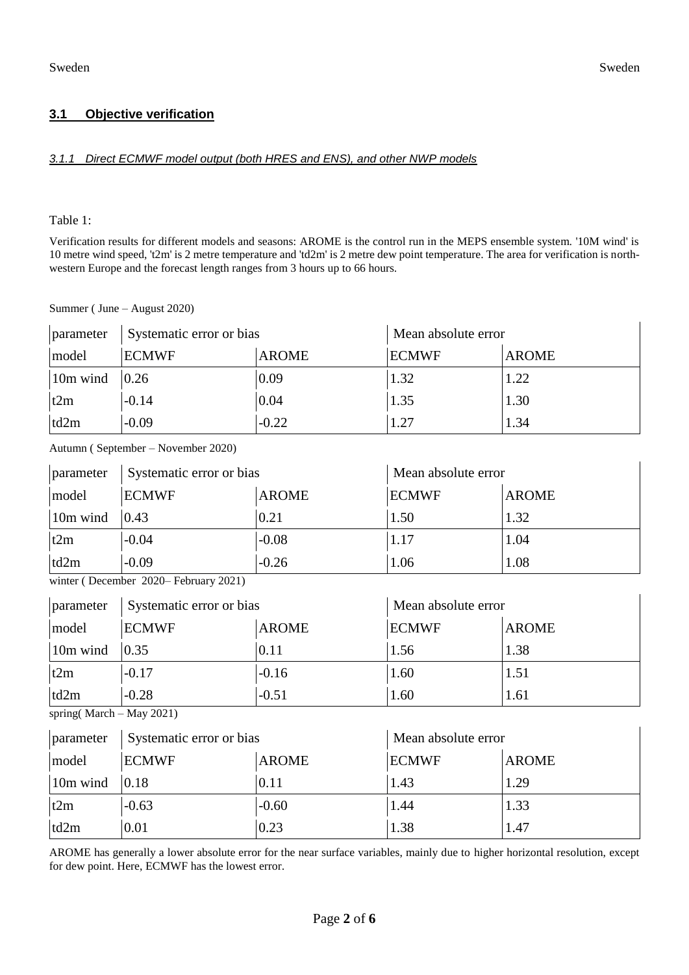## **3.1 Objective verification**

### *3.1.1 Direct ECMWF model output (both HRES and ENS), and other NWP models*

Table 1:

Verification results for different models and seasons: AROME is the control run in the MEPS ensemble system. '10M wind' is 10 metre wind speed, 't2m' is 2 metre temperature and 'td2m' is 2 metre dew point temperature. The area for verification is northwestern Europe and the forecast length ranges from 3 hours up to 66 hours.

|           | Summer (June $-$ August 2020) |              |                     |              |
|-----------|-------------------------------|--------------|---------------------|--------------|
| parameter | Systematic error or bias      |              | Mean absolute error |              |
| model     | <b>ECMWF</b>                  | <b>AROME</b> | <b>ECMWF</b>        | <b>AROME</b> |
| 10m wind  | 0.26                          | 0.09         | 1.32                | 1.22         |
| t2m       | $-0.14$                       | 0.04         | 1.35                | 1.30         |
| td2m      | $-0.09$                       | $-0.22$      | 1.27                | 1.34         |

Autumn ( September – November 2020)

| parameter | Systematic error or bias |              | Mean absolute error |              |
|-----------|--------------------------|--------------|---------------------|--------------|
| model     | <b>ECMWF</b>             | <b>AROME</b> | <b>ECMWF</b>        | <b>AROME</b> |
| 10m wind  | 0.43                     | 0.21         | 1.50                | 1.32         |
| t2m       | $-0.04$                  | $-0.08$      | 1.17                | 1.04         |
| td2m      | $-0.09$                  | $-0.26$      | 1.06                | 1.08         |

winter ( December 2020– February 2021)

| parameter                                                                                                                                                                                                                                                                                                                                                   | Systematic error or bias |              | Mean absolute error |              |
|-------------------------------------------------------------------------------------------------------------------------------------------------------------------------------------------------------------------------------------------------------------------------------------------------------------------------------------------------------------|--------------------------|--------------|---------------------|--------------|
| model                                                                                                                                                                                                                                                                                                                                                       | <b>ECMWF</b>             | <b>AROME</b> | <b>ECMWF</b>        | <b>AROME</b> |
| 10m wind                                                                                                                                                                                                                                                                                                                                                    | 0.35                     | 0.11         | 1.56                | 1.38         |
| t2m                                                                                                                                                                                                                                                                                                                                                         | $-0.17$                  | $-0.16$      | 1.60                | 1.51         |
| td2m                                                                                                                                                                                                                                                                                                                                                        | $-0.28$                  | $-0.51$      | 1.60                | 1.61         |
| $\mathcal{L}$ $\mathcal{L}$ $\mathcal{L}$ $\mathcal{L}$ $\mathcal{L}$ $\mathcal{L}$ $\mathcal{L}$ $\mathcal{L}$ $\mathcal{L}$ $\mathcal{L}$ $\mathcal{L}$ $\mathcal{L}$ $\mathcal{L}$ $\mathcal{L}$ $\mathcal{L}$ $\mathcal{L}$ $\mathcal{L}$ $\mathcal{L}$ $\mathcal{L}$ $\mathcal{L}$ $\mathcal{L}$ $\mathcal{L}$ $\mathcal{L}$ $\mathcal{L}$ $\mathcal{$ |                          |              |                     |              |

spring( March – May 2021)

| parameter | Systematic error or bias |              | Mean absolute error |              |
|-----------|--------------------------|--------------|---------------------|--------------|
| model     | <b>ECMWF</b>             | <b>AROME</b> | <b>ECMWF</b>        | <b>AROME</b> |
| 10m wind  | $ 0.18\rangle$           | 0.11         | 1.43                | 1.29         |
| t2m       | $-0.63$                  | $-0.60$      | 1.44                | 1.33         |
| td2m      | 0.01                     | 0.23         | 1.38                | 1.47         |

AROME has generally a lower absolute error for the near surface variables, mainly due to higher horizontal resolution, except for dew point. Here, ECMWF has the lowest error.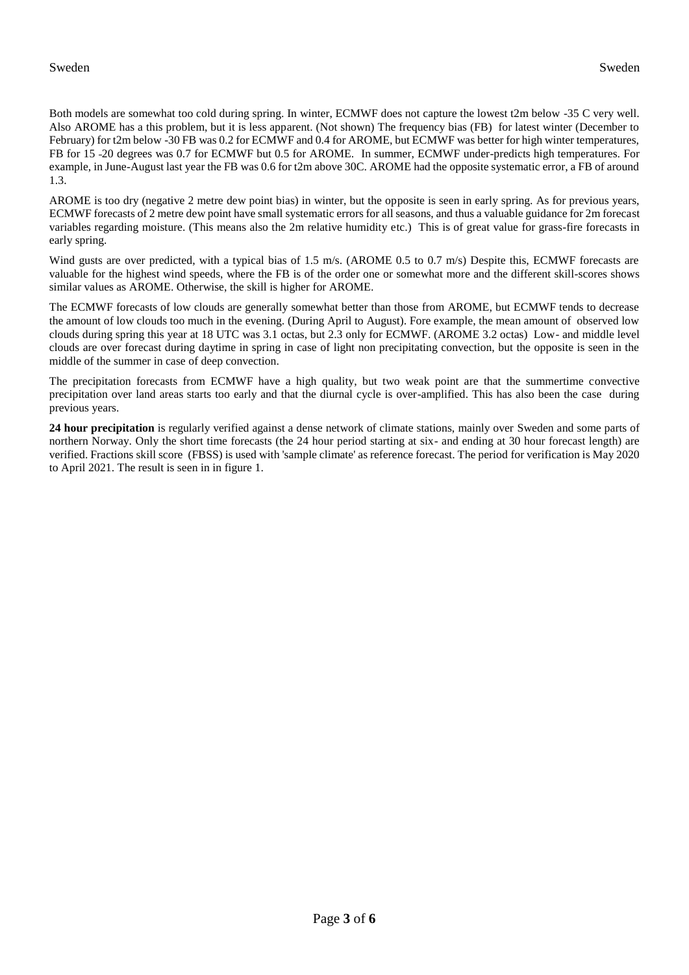Both models are somewhat too cold during spring. In winter, ECMWF does not capture the lowest t2m below -35 C very well. Also AROME has a this problem, but it is less apparent. (Not shown) The frequency bias (FB) for latest winter (December to February) for t2m below -30 FB was 0.2 for ECMWF and 0.4 for AROME, but ECMWF was better for high winter temperatures, FB for 15 20 degrees was 0.7 for ECMWF but 0.5 for AROME. In summer, ECMWF under-predicts high temperatures. For example, in June-August last year the FB was 0.6 for t2m above 30C. AROME had the opposite systematic error, a FB of around 1.3.

AROME is too dry (negative 2 metre dew point bias) in winter, but the opposite is seen in early spring. As for previous years, ECMWF forecasts of 2 metre dew point have small systematic errors for all seasons, and thus a valuable guidance for 2m forecast variables regarding moisture. (This means also the 2m relative humidity etc.) This is of great value for grass-fire forecasts in early spring.

Wind gusts are over predicted, with a typical bias of 1.5 m/s. (AROME 0.5 to 0.7 m/s) Despite this, ECMWF forecasts are valuable for the highest wind speeds, where the FB is of the order one or somewhat more and the different skill-scores shows similar values as AROME. Otherwise, the skill is higher for AROME.

The ECMWF forecasts of low clouds are generally somewhat better than those from AROME, but ECMWF tends to decrease the amount of low clouds too much in the evening. (During April to August). Fore example, the mean amount of observed low clouds during spring this year at 18 UTC was 3.1 octas, but 2.3 only for ECMWF. (AROME 3.2 octas) Low- and middle level clouds are over forecast during daytime in spring in case of light non precipitating convection, but the opposite is seen in the middle of the summer in case of deep convection.

The precipitation forecasts from ECMWF have a high quality, but two weak point are that the summertime convective precipitation over land areas starts too early and that the diurnal cycle is over-amplified. This has also been the case during previous years.

**24 hour precipitation** is regularly verified against a dense network of climate stations, mainly over Sweden and some parts of northern Norway. Only the short time forecasts (the 24 hour period starting at six- and ending at 30 hour forecast length) are verified. Fractions skill score (FBSS) is used with 'sample climate' as reference forecast. The period for verification is May 2020 to April 2021. The result is seen in in figure 1.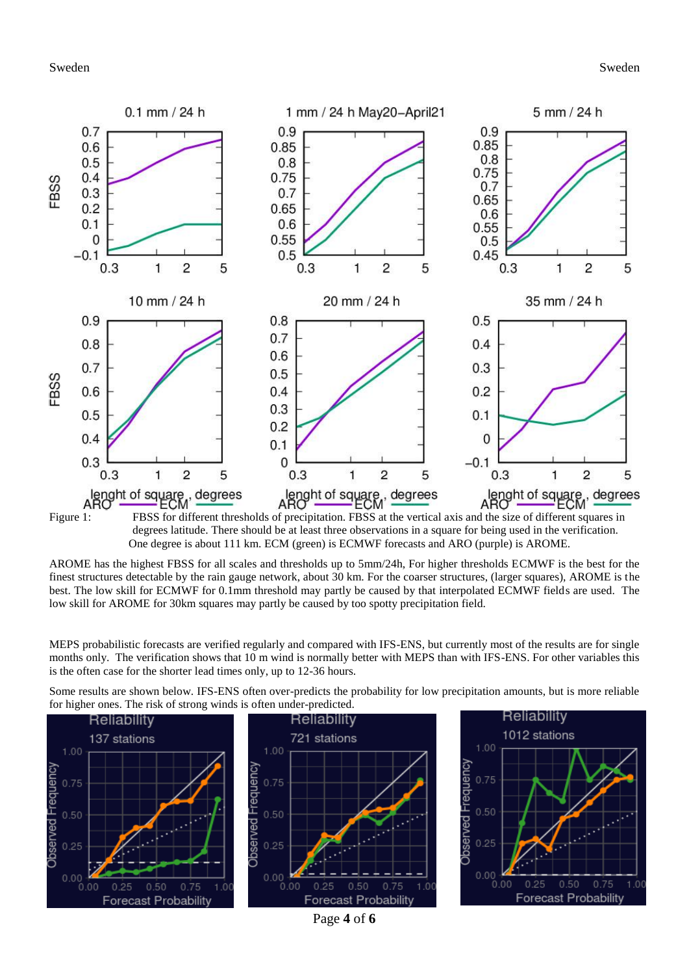#### Sweden Sweden



Figure 1: FBSS for different thresholds of precipitation. FBSS at the vertical axis and the size of different squares in degrees latitude. There should be at least three observations in a square for being used in the verification. One degree is about 111 km. ECM (green) is ECMWF forecasts and ARO (purple) is AROME.

AROME has the highest FBSS for all scales and thresholds up to 5mm/24h, For higher thresholds ECMWF is the best for the finest structures detectable by the rain gauge network, about 30 km. For the coarser structures, (larger squares), AROME is the best. The low skill for ECMWF for 0.1mm threshold may partly be caused by that interpolated ECMWF fields are used. The low skill for AROME for 30km squares may partly be caused by too spotty precipitation field.

MEPS probabilistic forecasts are verified regularly and compared with IFS-ENS, but currently most of the results are for single months only. The verification shows that 10 m wind is normally better with MEPS than with IFS-ENS. For other variables this is the often case for the shorter lead times only, up to 12-36 hours.

Some results are shown below. IFS-ENS often over-predicts the probability for low precipitation amounts, but is more reliable for higher ones. The risk of strong winds is often under-predicted.





Page **4** of **6**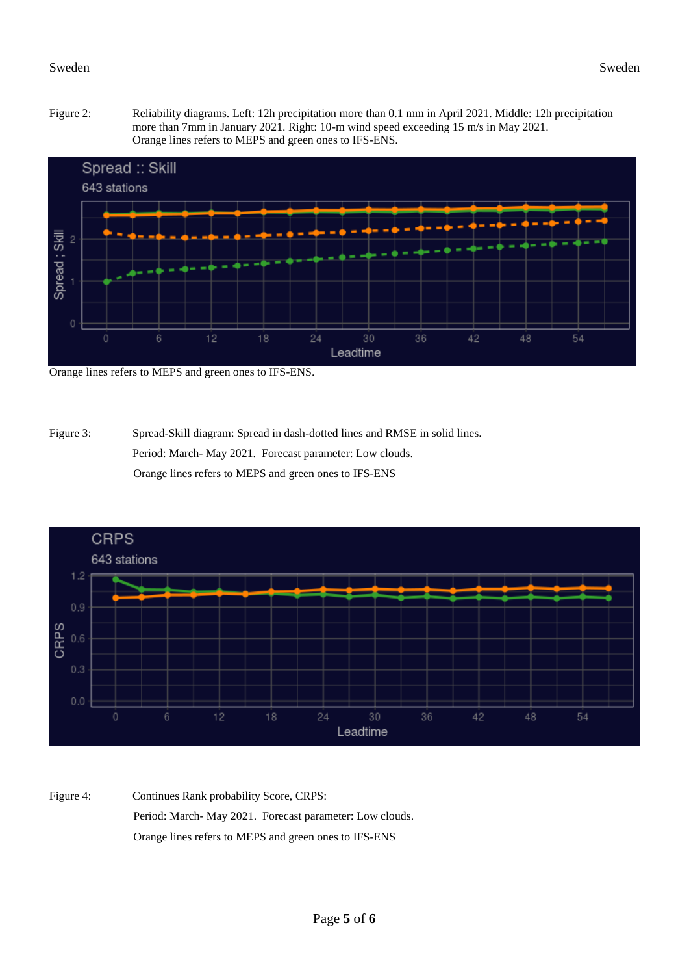



Orange lines refers to MEPS and green ones to IFS-ENS.

Figure 3: Spread-Skill diagram: Spread in dash-dotted lines and RMSE in solid lines. Period: March- May 2021. Forecast parameter: Low clouds. Orange lines refers to MEPS and green ones to IFS-ENS



Figure 4: Continues Rank probability Score, CRPS: Period: March- May 2021. Forecast parameter: Low clouds. Orange lines refers to MEPS and green ones to IFS-ENS